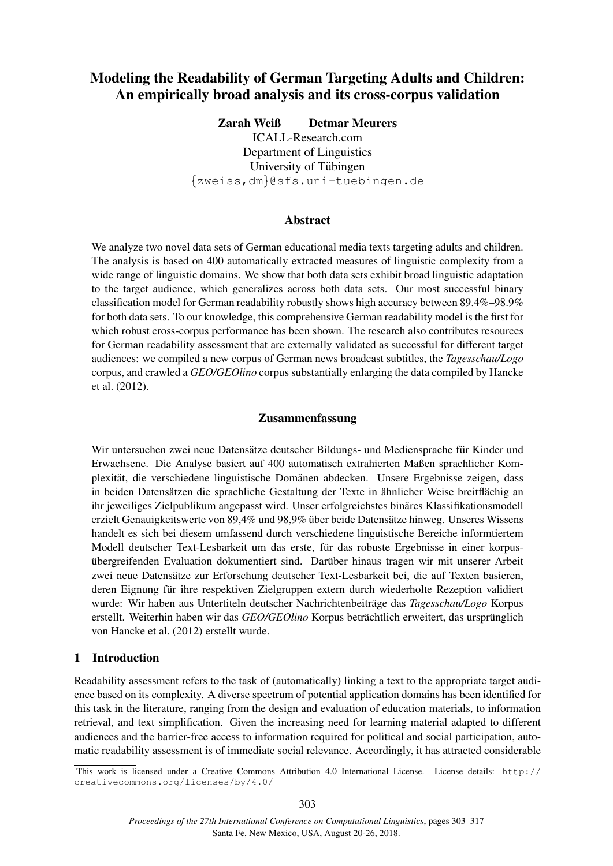# Modeling the Readability of German Targeting Adults and Children: An empirically broad analysis and its cross-corpus validation

Zarah Weiß Detmar Meurers ICALL-Research.com Department of Linguistics University of Tübingen {zweiss,dm}@sfs.uni-tuebingen.de

#### Abstract

We analyze two novel data sets of German educational media texts targeting adults and children. The analysis is based on 400 automatically extracted measures of linguistic complexity from a wide range of linguistic domains. We show that both data sets exhibit broad linguistic adaptation to the target audience, which generalizes across both data sets. Our most successful binary classification model for German readability robustly shows high accuracy between 89.4%–98.9% for both data sets. To our knowledge, this comprehensive German readability model is the first for which robust cross-corpus performance has been shown. The research also contributes resources for German readability assessment that are externally validated as successful for different target audiences: we compiled a new corpus of German news broadcast subtitles, the *Tagesschau/Logo* corpus, and crawled a *GEO/GEOlino* corpus substantially enlarging the data compiled by Hancke et al. (2012).

#### Zusammenfassung

Wir untersuchen zwei neue Datensätze deutscher Bildungs- und Mediensprache für Kinder und Erwachsene. Die Analyse basiert auf 400 automatisch extrahierten Maßen sprachlicher Komplexität, die verschiedene linguistische Domänen abdecken. Unsere Ergebnisse zeigen, dass in beiden Datensätzen die sprachliche Gestaltung der Texte in ähnlicher Weise breitflächig an ihr jeweiliges Zielpublikum angepasst wird. Unser erfolgreichstes binäres Klassifikationsmodell erzielt Genauigkeitswerte von 89,4% und 98,9% über beide Datensätze hinweg. Unseres Wissens handelt es sich bei diesem umfassend durch verschiedene linguistische Bereiche informtiertem Modell deutscher Text-Lesbarkeit um das erste, für das robuste Ergebnisse in einer korpusübergreifenden Evaluation dokumentiert sind. Darüber hinaus tragen wir mit unserer Arbeit zwei neue Datensätze zur Erforschung deutscher Text-Lesbarkeit bei, die auf Texten basieren, deren Eignung für ihre respektiven Zielgruppen extern durch wiederholte Rezeption validiert wurde: Wir haben aus Untertiteln deutscher Nachrichtenbeiträge das *Tagesschau/Logo* Korpus erstellt. Weiterhin haben wir das *GEO/GEOlino* Korpus beträchtlich erweitert, das ursprünglich von Hancke et al. (2012) erstellt wurde.

# 1 Introduction

Readability assessment refers to the task of (automatically) linking a text to the appropriate target audience based on its complexity. A diverse spectrum of potential application domains has been identified for this task in the literature, ranging from the design and evaluation of education materials, to information retrieval, and text simplification. Given the increasing need for learning material adapted to different audiences and the barrier-free access to information required for political and social participation, automatic readability assessment is of immediate social relevance. Accordingly, it has attracted considerable

This work is licensed under a Creative Commons Attribution 4.0 International License. License details: http:// creativecommons.org/licenses/by/4.0/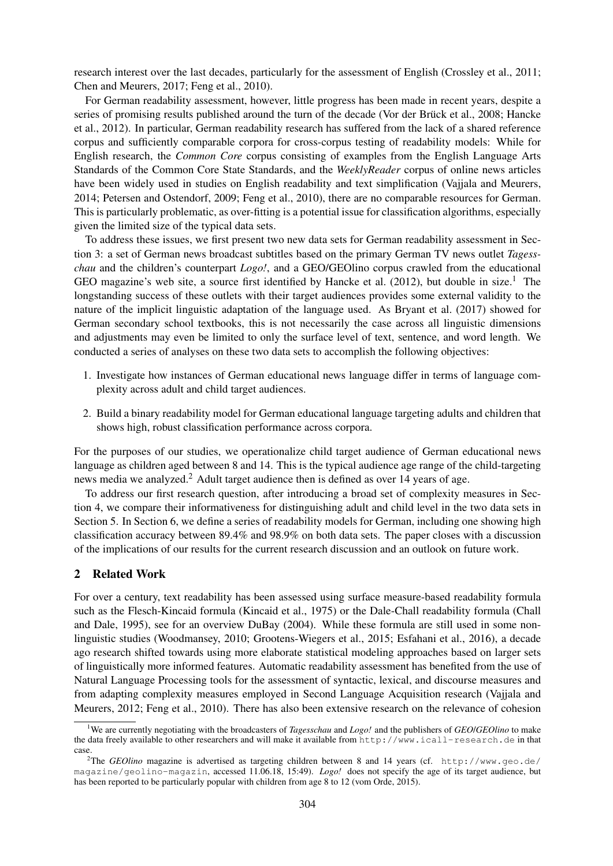research interest over the last decades, particularly for the assessment of English (Crossley et al., 2011; Chen and Meurers, 2017; Feng et al., 2010).

For German readability assessment, however, little progress has been made in recent years, despite a series of promising results published around the turn of the decade (Vor der Brück et al., 2008; Hancke et al., 2012). In particular, German readability research has suffered from the lack of a shared reference corpus and sufficiently comparable corpora for cross-corpus testing of readability models: While for English research, the *Common Core* corpus consisting of examples from the English Language Arts Standards of the Common Core State Standards, and the *WeeklyReader* corpus of online news articles have been widely used in studies on English readability and text simplification (Vajjala and Meurers, 2014; Petersen and Ostendorf, 2009; Feng et al., 2010), there are no comparable resources for German. This is particularly problematic, as over-fitting is a potential issue for classification algorithms, especially given the limited size of the typical data sets.

To address these issues, we first present two new data sets for German readability assessment in Section 3: a set of German news broadcast subtitles based on the primary German TV news outlet *Tagesschau* and the children's counterpart *Logo!*, and a GEO/GEOlino corpus crawled from the educational GEO magazine's web site, a source first identified by Hancke et al.  $(2012)$ , but double in size.<sup>1</sup> The longstanding success of these outlets with their target audiences provides some external validity to the nature of the implicit linguistic adaptation of the language used. As Bryant et al. (2017) showed for German secondary school textbooks, this is not necessarily the case across all linguistic dimensions and adjustments may even be limited to only the surface level of text, sentence, and word length. We conducted a series of analyses on these two data sets to accomplish the following objectives:

- 1. Investigate how instances of German educational news language differ in terms of language complexity across adult and child target audiences.
- 2. Build a binary readability model for German educational language targeting adults and children that shows high, robust classification performance across corpora.

For the purposes of our studies, we operationalize child target audience of German educational news language as children aged between 8 and 14. This is the typical audience age range of the child-targeting news media we analyzed.<sup>2</sup> Adult target audience then is defined as over 14 years of age.

To address our first research question, after introducing a broad set of complexity measures in Section 4, we compare their informativeness for distinguishing adult and child level in the two data sets in Section 5. In Section 6, we define a series of readability models for German, including one showing high classification accuracy between 89.4% and 98.9% on both data sets. The paper closes with a discussion of the implications of our results for the current research discussion and an outlook on future work.

# 2 Related Work

For over a century, text readability has been assessed using surface measure-based readability formula such as the Flesch-Kincaid formula (Kincaid et al., 1975) or the Dale-Chall readability formula (Chall and Dale, 1995), see for an overview DuBay (2004). While these formula are still used in some nonlinguistic studies (Woodmansey, 2010; Grootens-Wiegers et al., 2015; Esfahani et al., 2016), a decade ago research shifted towards using more elaborate statistical modeling approaches based on larger sets of linguistically more informed features. Automatic readability assessment has benefited from the use of Natural Language Processing tools for the assessment of syntactic, lexical, and discourse measures and from adapting complexity measures employed in Second Language Acquisition research (Vajjala and Meurers, 2012; Feng et al., 2010). There has also been extensive research on the relevance of cohesion

<sup>1</sup>We are currently negotiating with the broadcasters of *Tagesschau* and *Logo!* and the publishers of *GEO*/*GEOlino* to make the data freely available to other researchers and will make it available from http://www.icall-research.de in that case.

<sup>&</sup>lt;sup>2</sup>The *GEOlino* magazine is advertised as targeting children between 8 and 14 years (cf. http://www.geo.de/ magazine/geolino-magazin, accessed 11.06.18, 15:49). *Logo!* does not specify the age of its target audience, but has been reported to be particularly popular with children from age 8 to 12 (vom Orde, 2015).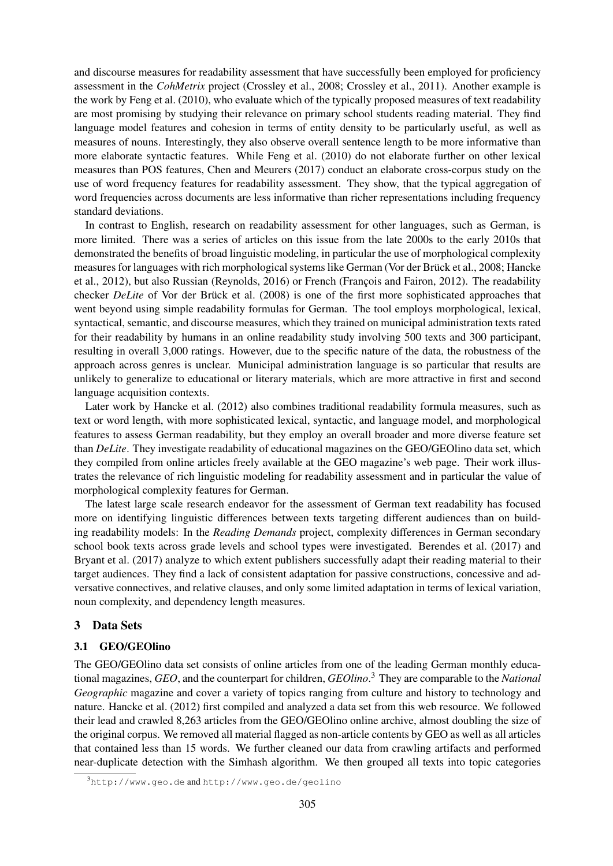and discourse measures for readability assessment that have successfully been employed for proficiency assessment in the *CohMetrix* project (Crossley et al., 2008; Crossley et al., 2011). Another example is the work by Feng et al. (2010), who evaluate which of the typically proposed measures of text readability are most promising by studying their relevance on primary school students reading material. They find language model features and cohesion in terms of entity density to be particularly useful, as well as measures of nouns. Interestingly, they also observe overall sentence length to be more informative than more elaborate syntactic features. While Feng et al. (2010) do not elaborate further on other lexical measures than POS features, Chen and Meurers (2017) conduct an elaborate cross-corpus study on the use of word frequency features for readability assessment. They show, that the typical aggregation of word frequencies across documents are less informative than richer representations including frequency standard deviations.

In contrast to English, research on readability assessment for other languages, such as German, is more limited. There was a series of articles on this issue from the late 2000s to the early 2010s that demonstrated the benefits of broad linguistic modeling, in particular the use of morphological complexity measures for languages with rich morphological systems like German (Vor der Brück et al., 2008; Hancke et al., 2012), but also Russian (Reynolds, 2016) or French (François and Fairon, 2012). The readability checker *DeLite* of Vor der Brück et al. (2008) is one of the first more sophisticated approaches that went beyond using simple readability formulas for German. The tool employs morphological, lexical, syntactical, semantic, and discourse measures, which they trained on municipal administration texts rated for their readability by humans in an online readability study involving 500 texts and 300 participant, resulting in overall 3,000 ratings. However, due to the specific nature of the data, the robustness of the approach across genres is unclear. Municipal administration language is so particular that results are unlikely to generalize to educational or literary materials, which are more attractive in first and second language acquisition contexts.

Later work by Hancke et al. (2012) also combines traditional readability formula measures, such as text or word length, with more sophisticated lexical, syntactic, and language model, and morphological features to assess German readability, but they employ an overall broader and more diverse feature set than *DeLite*. They investigate readability of educational magazines on the GEO/GEOlino data set, which they compiled from online articles freely available at the GEO magazine's web page. Their work illustrates the relevance of rich linguistic modeling for readability assessment and in particular the value of morphological complexity features for German.

The latest large scale research endeavor for the assessment of German text readability has focused more on identifying linguistic differences between texts targeting different audiences than on building readability models: In the *Reading Demands* project, complexity differences in German secondary school book texts across grade levels and school types were investigated. Berendes et al. (2017) and Bryant et al. (2017) analyze to which extent publishers successfully adapt their reading material to their target audiences. They find a lack of consistent adaptation for passive constructions, concessive and adversative connectives, and relative clauses, and only some limited adaptation in terms of lexical variation, noun complexity, and dependency length measures.

# 3 Data Sets

# 3.1 GEO/GEOlino

The GEO/GEOlino data set consists of online articles from one of the leading German monthly educational magazines, *GEO*, and the counterpart for children, *GEOlino*. <sup>3</sup> They are comparable to the *National Geographic* magazine and cover a variety of topics ranging from culture and history to technology and nature. Hancke et al. (2012) first compiled and analyzed a data set from this web resource. We followed their lead and crawled 8,263 articles from the GEO/GEOlino online archive, almost doubling the size of the original corpus. We removed all material flagged as non-article contents by GEO as well as all articles that contained less than 15 words. We further cleaned our data from crawling artifacts and performed near-duplicate detection with the Simhash algorithm. We then grouped all texts into topic categories

<sup>3</sup>http://www.geo.de and http://www.geo.de/geolino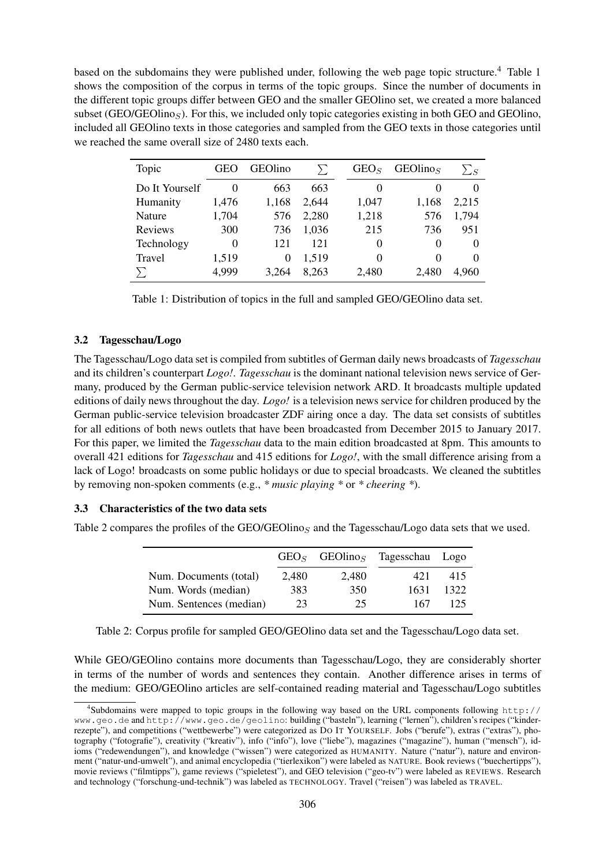based on the subdomains they were published under, following the web page topic structure.<sup>4</sup> Table 1 shows the composition of the corpus in terms of the topic groups. Since the number of documents in the different topic groups differ between GEO and the smaller GEOlino set, we created a more balanced subset (GEO/GEOlino $_S$ ). For this, we included only topic categories existing in both GEO and GEOlino, included all GEOlino texts in those categories and sampled from the GEO texts in those categories until we reached the same overall size of 2480 texts each.

| Topic          | GEO      | <b>GEOlino</b> | Σ     | GEO <sub>S</sub> | GEO <sub>l</sub> | $\sum_S$ |
|----------------|----------|----------------|-------|------------------|------------------|----------|
| Do It Yourself | 0        | 663            | 663   | 0                | $\theta$         |          |
| Humanity       | 1,476    | 1,168          | 2,644 | 1,047            | 1,168            | 2,215    |
| Nature         | 1,704    | 576            | 2,280 | 1,218            | 576              | 1,794    |
| Reviews        | 300      | 736            | 1,036 | 215              | 736              | 951      |
| Technology     | $\Omega$ | 121            | 121   | 0                | $\Omega$         | $\Omega$ |
| Travel         | 1,519    | $\theta$       | 1,519 | 0                | $\Omega$         | $\Omega$ |
|                | 4,999    | 3.264          | 8,263 | 2,480            | 2,480            | 4,960    |

Table 1: Distribution of topics in the full and sampled GEO/GEOlino data set.

#### 3.2 Tagesschau/Logo

The Tagesschau/Logo data set is compiled from subtitles of German daily news broadcasts of *Tagesschau* and its children's counterpart *Logo!*. *Tagesschau* is the dominant national television news service of Germany, produced by the German public-service television network ARD. It broadcasts multiple updated editions of daily news throughout the day. *Logo!* is a television news service for children produced by the German public-service television broadcaster ZDF airing once a day. The data set consists of subtitles for all editions of both news outlets that have been broadcasted from December 2015 to January 2017. For this paper, we limited the *Tagesschau* data to the main edition broadcasted at 8pm. This amounts to overall 421 editions for *Tagesschau* and 415 editions for *Logo!*, with the small difference arising from a lack of Logo! broadcasts on some public holidays or due to special broadcasts. We cleaned the subtitles by removing non-spoken comments (e.g., *\* music playing \** or *\* cheering \**).

#### 3.3 Characteristics of the two data sets

Table 2 compares the profiles of the GEO/GEOlinos and the Tagesschau/Logo data sets that we used.

|                         |       | $GEOS$ GEOlino <sub>S</sub> | Tagesschau Logo |      |
|-------------------------|-------|-----------------------------|-----------------|------|
| Num. Documents (total)  | 2.480 | 2,480                       | 421             | 415  |
| Num. Words (median)     | 383   | 350                         | 1631            | 1322 |
| Num. Sentences (median) | 23    | 25                          | 167             | 125  |

Table 2: Corpus profile for sampled GEO/GEOlino data set and the Tagesschau/Logo data set.

While GEO/GEOlino contains more documents than Tagesschau/Logo, they are considerably shorter in terms of the number of words and sentences they contain. Another difference arises in terms of the medium: GEO/GEOlino articles are self-contained reading material and Tagesschau/Logo subtitles

<sup>4</sup> Subdomains were mapped to topic groups in the following way based on the URL components following http:// www.geo.de and http://www.geo.de/geolino: building ("basteln"), learning ("lernen"), children's recipes ("kinderrezepte"), and competitions ("wettbewerbe") were categorized as DO IT YOURSELF. Jobs ("berufe"), extras ("extras"), photography ("fotografie"), creativity ("kreativ"), info ("info"), love ("liebe"), magazines ("magazine"), human ("mensch"), idioms ("redewendungen"), and knowledge ("wissen") were categorized as HUMANITY. Nature ("natur"), nature and environment ("natur-und-umwelt"), and animal encyclopedia ("tierlexikon") were labeled as NATURE. Book reviews ("buechertipps"), movie reviews ("filmtipps"), game reviews ("spieletest"), and GEO television ("geo-tv") were labeled as REVIEWS. Research and technology ("forschung-und-technik") was labeled as TECHNOLOGY. Travel ("reisen") was labeled as TRAVEL.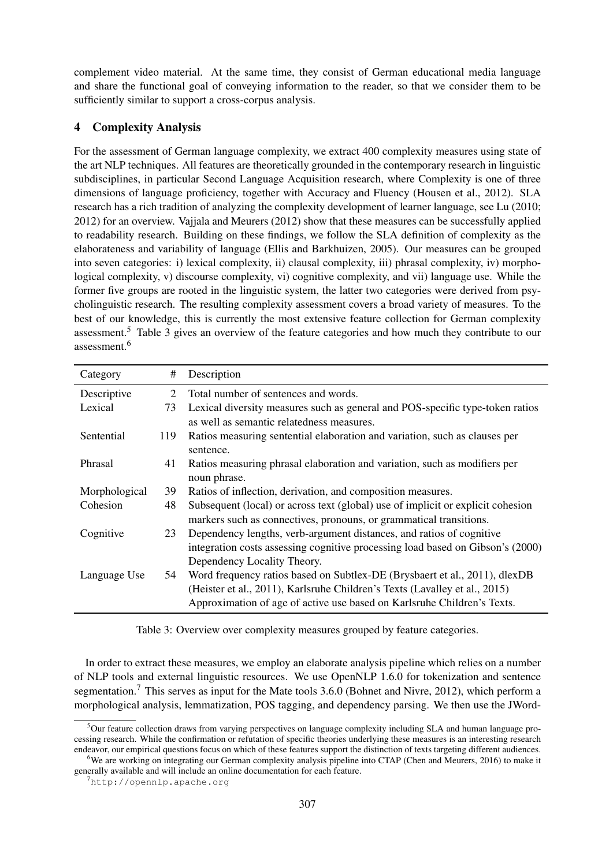complement video material. At the same time, they consist of German educational media language and share the functional goal of conveying information to the reader, so that we consider them to be sufficiently similar to support a cross-corpus analysis.

# 4 Complexity Analysis

For the assessment of German language complexity, we extract 400 complexity measures using state of the art NLP techniques. All features are theoretically grounded in the contemporary research in linguistic subdisciplines, in particular Second Language Acquisition research, where Complexity is one of three dimensions of language proficiency, together with Accuracy and Fluency (Housen et al., 2012). SLA research has a rich tradition of analyzing the complexity development of learner language, see Lu (2010; 2012) for an overview. Vajjala and Meurers (2012) show that these measures can be successfully applied to readability research. Building on these findings, we follow the SLA definition of complexity as the elaborateness and variability of language (Ellis and Barkhuizen, 2005). Our measures can be grouped into seven categories: i) lexical complexity, ii) clausal complexity, iii) phrasal complexity, iv) morphological complexity, v) discourse complexity, vi) cognitive complexity, and vii) language use. While the former five groups are rooted in the linguistic system, the latter two categories were derived from psycholinguistic research. The resulting complexity assessment covers a broad variety of measures. To the best of our knowledge, this is currently the most extensive feature collection for German complexity assessment.<sup>5</sup> Table 3 gives an overview of the feature categories and how much they contribute to our assessment $6$ 

| Category      | #              | Description                                                                     |
|---------------|----------------|---------------------------------------------------------------------------------|
| Descriptive   | $\overline{2}$ | Total number of sentences and words.                                            |
| Lexical       | 73             | Lexical diversity measures such as general and POS-specific type-token ratios   |
|               |                | as well as semantic relatedness measures.                                       |
| Sentential    | 119            | Ratios measuring sentential elaboration and variation, such as clauses per      |
|               |                | sentence.                                                                       |
| Phrasal       | 41             | Ratios measuring phrasal elaboration and variation, such as modifiers per       |
|               |                | noun phrase.                                                                    |
| Morphological | 39             | Ratios of inflection, derivation, and composition measures.                     |
| Cohesion      | 48             | Subsequent (local) or across text (global) use of implicit or explicit cohesion |
|               |                | markers such as connectives, pronouns, or grammatical transitions.              |
| Cognitive     | 23             | Dependency lengths, verb-argument distances, and ratios of cognitive            |
|               |                | integration costs assessing cognitive processing load based on Gibson's (2000)  |
|               |                | Dependency Locality Theory.                                                     |
| Language Use  | 54             | Word frequency ratios based on Subtlex-DE (Brysbaert et al., 2011), dlexDB      |
|               |                | (Heister et al., 2011), Karlsruhe Children's Texts (Lavalley et al., 2015)      |
|               |                | Approximation of age of active use based on Karlsruhe Children's Texts.         |

Table 3: Overview over complexity measures grouped by feature categories.

In order to extract these measures, we employ an elaborate analysis pipeline which relies on a number of NLP tools and external linguistic resources. We use OpenNLP 1.6.0 for tokenization and sentence segmentation.<sup>7</sup> This serves as input for the Mate tools 3.6.0 (Bohnet and Nivre, 2012), which perform a morphological analysis, lemmatization, POS tagging, and dependency parsing. We then use the JWord-

<sup>&</sup>lt;sup>5</sup>Our feature collection draws from varying perspectives on language complexity including SLA and human language processing research. While the confirmation or refutation of specific theories underlying these measures is an interesting research endeavor, our empirical questions focus on which of these features support the distinction of texts targeting different audiences. <sup>6</sup>We are working on integrating our German complexity analysis pipeline into CTAP (Chen and Meurers, 2016) to make it

generally available and will include an online documentation for each feature.

<sup>7</sup>http://opennlp.apache.org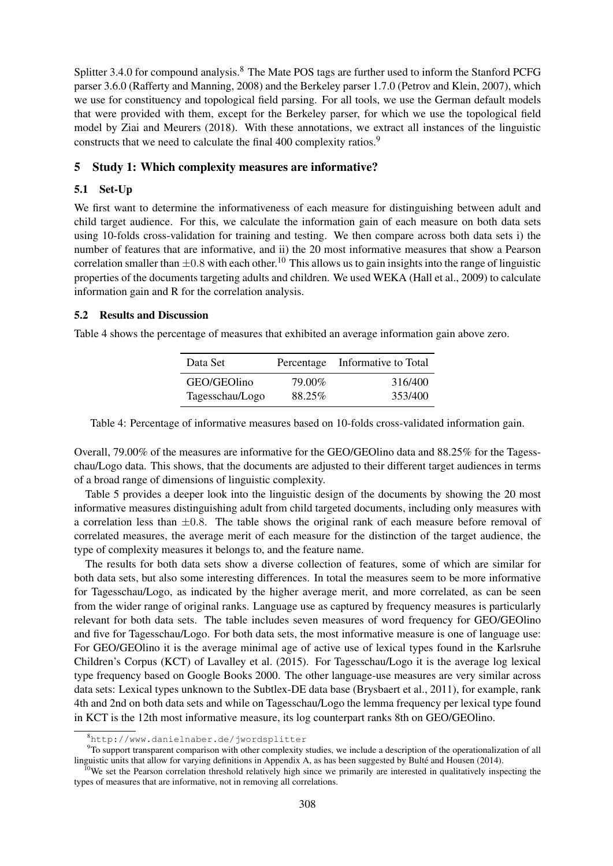Splitter 3.4.0 for compound analysis.<sup>8</sup> The Mate POS tags are further used to inform the Stanford PCFG parser 3.6.0 (Rafferty and Manning, 2008) and the Berkeley parser 1.7.0 (Petrov and Klein, 2007), which we use for constituency and topological field parsing. For all tools, we use the German default models that were provided with them, except for the Berkeley parser, for which we use the topological field model by Ziai and Meurers (2018). With these annotations, we extract all instances of the linguistic constructs that we need to calculate the final 400 complexity ratios.<sup>9</sup>

# 5 Study 1: Which complexity measures are informative?

# 5.1 Set-Up

We first want to determine the informativeness of each measure for distinguishing between adult and child target audience. For this, we calculate the information gain of each measure on both data sets using 10-folds cross-validation for training and testing. We then compare across both data sets i) the number of features that are informative, and ii) the 20 most informative measures that show a Pearson correlation smaller than  $\pm 0.8$  with each other.<sup>10</sup> This allows us to gain insights into the range of linguistic properties of the documents targeting adults and children. We used WEKA (Hall et al., 2009) to calculate information gain and R for the correlation analysis.

# 5.2 Results and Discussion

Table 4 shows the percentage of measures that exhibited an average information gain above zero.

| Data Set        |        | Percentage Informative to Total |
|-----------------|--------|---------------------------------|
| GEO/GEOlino     | 79.00% | 316/400                         |
| Tagesschau/Logo | 88.25% | 353/400                         |

Table 4: Percentage of informative measures based on 10-folds cross-validated information gain.

Overall, 79.00% of the measures are informative for the GEO/GEOlino data and 88.25% for the Tagesschau/Logo data. This shows, that the documents are adjusted to their different target audiences in terms of a broad range of dimensions of linguistic complexity.

Table 5 provides a deeper look into the linguistic design of the documents by showing the 20 most informative measures distinguishing adult from child targeted documents, including only measures with a correlation less than  $\pm 0.8$ . The table shows the original rank of each measure before removal of correlated measures, the average merit of each measure for the distinction of the target audience, the type of complexity measures it belongs to, and the feature name.

The results for both data sets show a diverse collection of features, some of which are similar for both data sets, but also some interesting differences. In total the measures seem to be more informative for Tagesschau/Logo, as indicated by the higher average merit, and more correlated, as can be seen from the wider range of original ranks. Language use as captured by frequency measures is particularly relevant for both data sets. The table includes seven measures of word frequency for GEO/GEOlino and five for Tagesschau/Logo. For both data sets, the most informative measure is one of language use: For GEO/GEOlino it is the average minimal age of active use of lexical types found in the Karlsruhe Children's Corpus (KCT) of Lavalley et al. (2015). For Tagesschau/Logo it is the average log lexical type frequency based on Google Books 2000. The other language-use measures are very similar across data sets: Lexical types unknown to the Subtlex-DE data base (Brysbaert et al., 2011), for example, rank 4th and 2nd on both data sets and while on Tagesschau/Logo the lemma frequency per lexical type found in KCT is the 12th most informative measure, its log counterpart ranks 8th on GEO/GEOlino.

<sup>8</sup>http://www.danielnaber.de/jwordsplitter

<sup>&</sup>lt;sup>9</sup>To support transparent comparison with other complexity studies, we include a description of the operationalization of all linguistic units that allow for varying definitions in Appendix A, as has been suggested by Bulté and Housen (2014).

 $10$ We set the Pearson correlation threshold relatively high since we primarily are interested in qualitatively inspecting the types of measures that are informative, not in removing all correlations.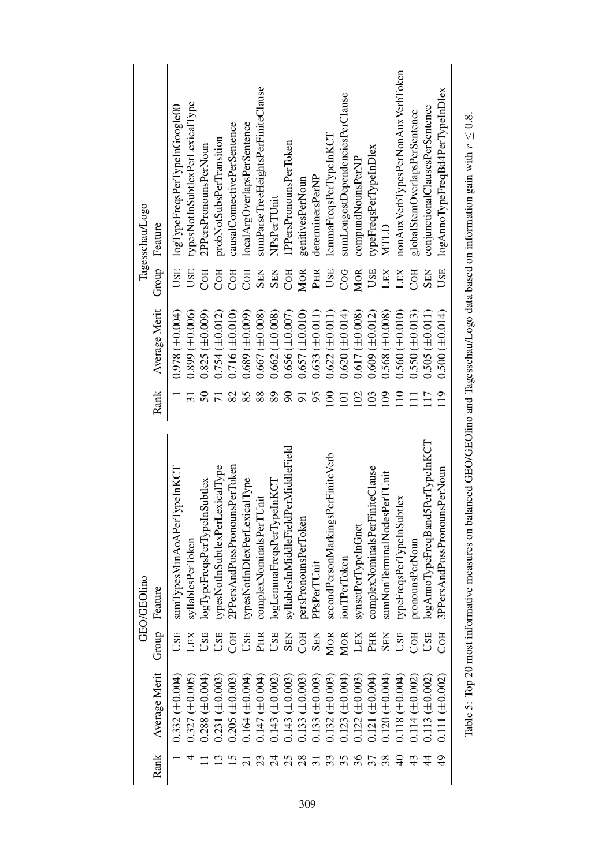| Tagesschau/Logo | Feature       | logTypeFreqsPerTypeInGoogle00 | typesNotInSubtlexPerLexicalType | 2PPersPronounsPerNoun            | probNotSubsPerTransition        | causalConnectivePerSentence   | localArgOverlapsPerSentence  | sumParseTreeHeightsPerFiniteClause | NPsPerTUnit               | 1PPersPronounsPerToken               | genitivesPerNoun      | determinersPerNP      | lemmaFreqsPerTypeInKCT            | sumLongestDependenciesPerClause | compundNounsPerNP   | typeFreqsPerTypeInDlex         | MTLD                        | nonAux VerbTypesPerNonAux VerbToken | globalStemOverlapsPerSentence | conjunctionalClausesPerSentence  | logAnnoTypeFreqBd4PerTypeInDlex |
|-----------------|---------------|-------------------------------|---------------------------------|----------------------------------|---------------------------------|-------------------------------|------------------------------|------------------------------------|---------------------------|--------------------------------------|-----------------------|-----------------------|-----------------------------------|---------------------------------|---------------------|--------------------------------|-----------------------------|-------------------------------------|-------------------------------|----------------------------------|---------------------------------|
|                 | Group         | USE                           | USE                             | COH                              | COH                             | COH                           | COH                          | <b>SEN</b>                         | <b>SEN</b>                | COH                                  | MOR                   | PHR                   | USE                               | COG                             | MOR                 | USE                            | LEX                         | LEX                                 | COH                           | <b>SEN</b>                       | USE                             |
|                 | Average Merit | $0.978 \ (\pm 0.004)$         | $0.899 \ (\pm 0.006)$           | $0.825 (\pm 0.009)$              | $0.754 \ (\pm 0.012)$           | $0.716 \ (\pm 0.010)$         | $0.689 \ (\pm 0.009)$        | $0.667 \ (\pm 0.008)$              | $0.662 \ (\pm 0.008)$     | $0.656 \ (\pm 0.007)$                | $0.657 \ (\pm 0.010)$ | $0.633 \ (\pm 0.011)$ | $0.622 \ (\pm 0.011)$             | $0.620 (\pm 0.014)$             | $0.617 (\pm 0.008)$ | $0.609 \ (\pm 0.012)$          | $0.568 \ (\pm 0.008)$       | $0.560 \ (\pm 0.010)$               | $0.550 \ (\pm 0.013)$         | $0.505 \ (\pm 0.011)$            | $0.500 (\pm 0.014)$             |
|                 | Rank          |                               |                                 | $\mathcal{S}$                    |                                 | 82                            | 85                           | 88                                 | 89                        | 8                                    |                       | 95                    | $\Xi$                             | $\Xi$                           | 102                 | 103                            | $\overline{0}$              | $\overline{10}$                     | Ξ                             | $\Box$                           | 19                              |
|                 |               |                               |                                 |                                  |                                 |                               |                              |                                    |                           |                                      |                       |                       |                                   |                                 |                     |                                |                             |                                     |                               |                                  |                                 |
|                 | Feature       | sumTypesMinAoAPerTypeInKCT    | syllablesPerToken               | eInSubtlex<br>logTypeFreqsPerTyp | typesNotInSubtlexPerLexicalType | 2PPersAndPossPronounsPerToken | typesNotInDlexPerLexicalType | complexNominalsPerTUnit            | logLemmaFreqsPerTypeInKCT | syllablesInMiddleFieldPerMiddleField | persPronounsPerToken  | PPsPerTUnit           | secondPersonMarkingsPerFiniteVerb | ionTPerToken                    | synsetPerTypeInGnet | complexNominalsPerFiniteClause | sumNonTerminalNodesPerTUnit | typeFreqsPerTypeInSubtlex           | pronounsPerNoun               | logAnnoTypeFreqBand5PerTypeInKCT | 3PPersAndPossPronounsPerNoun    |
| GEO/GEOlino     | Group         | USE                           | LEX                             | USE                              | USE                             | <b>COH</b>                    | USE                          | PHR                                | USE                       | <b>SEN</b>                           | COH                   | <b>SEN</b>            | <b>MOR</b>                        | <b>MOR</b>                      | LEX                 | PHR                            | <b>SEN</b>                  | USE                                 | COH                           | USE                              | C <sub>OH</sub>                 |
|                 | Average Merit | $0.332 (\pm 0.004)$           | $0.327 (\pm 0.005)$             | $0.288~(\pm 0.004)$              | $0.231 (\pm 0.003)$             | $0.205 (\pm 0.003)$           | $0.164 (\pm 0.004)$          | $0.147~(\pm 0.004)$                | $0.143 \ (\pm 0.002)$     | $0.143 \ (\pm 0.003)$                | $0.133(\pm 0.003)$    | $0.133(\pm 0.003)$    | $0.132~(\pm 0.003)$               | $0.123 (\pm 0.004)$             | $0.122 (\pm 0.003)$ | $0.121 (\pm 0.004)$            | $0.120 (\pm 0.004)$         | $0.118 \ (\pm 0.004)$               | $0.114 \, (\pm 0.002)$        | $0.113 \ (\pm 0.002)$            | $0.111 (\pm 0.002)$             |

Table 5: Top 20 most informative measures on balanced GEO/GEOlino and Tagesschau/Logo data based on information gain with  $r \leq$ Table 5: Top 20 most informative measures on balanced GEO/GEO/Ino and Tagesschau/Logo data based on information gain with  $r \leq 0.8$ .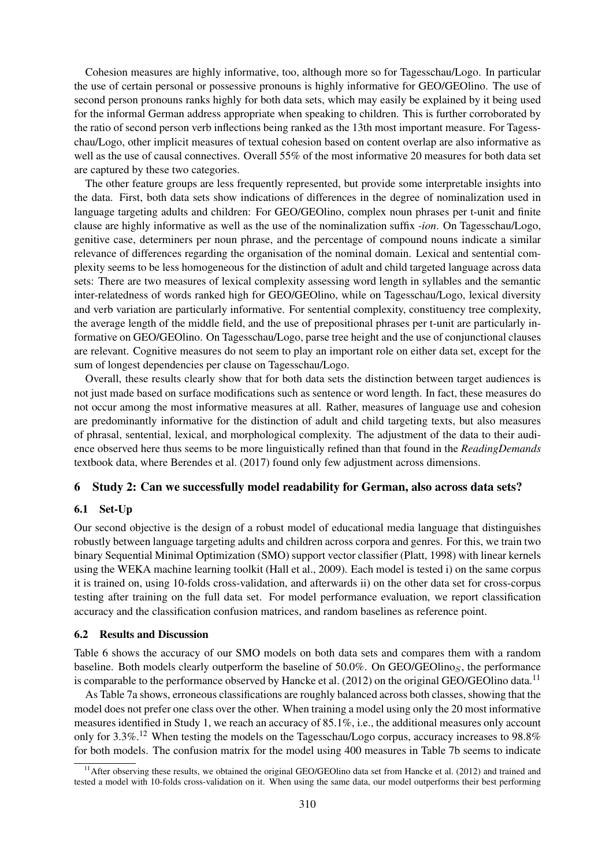Cohesion measures are highly informative, too, although more so for Tagesschau/Logo. In particular the use of certain personal or possessive pronouns is highly informative for GEO/GEOlino. The use of second person pronouns ranks highly for both data sets, which may easily be explained by it being used for the informal German address appropriate when speaking to children. This is further corroborated by the ratio of second person verb inflections being ranked as the 13th most important measure. For Tagesschau/Logo, other implicit measures of textual cohesion based on content overlap are also informative as well as the use of causal connectives. Overall 55% of the most informative 20 measures for both data set are captured by these two categories.

The other feature groups are less frequently represented, but provide some interpretable insights into the data. First, both data sets show indications of differences in the degree of nominalization used in language targeting adults and children: For GEO/GEOlino, complex noun phrases per t-unit and finite clause are highly informative as well as the use of the nominalization suffix *-ion*. On Tagesschau/Logo, genitive case, determiners per noun phrase, and the percentage of compound nouns indicate a similar relevance of differences regarding the organisation of the nominal domain. Lexical and sentential complexity seems to be less homogeneous for the distinction of adult and child targeted language across data sets: There are two measures of lexical complexity assessing word length in syllables and the semantic inter-relatedness of words ranked high for GEO/GEOlino, while on Tagesschau/Logo, lexical diversity and verb variation are particularly informative. For sentential complexity, constituency tree complexity, the average length of the middle field, and the use of prepositional phrases per t-unit are particularly informative on GEO/GEOlino. On Tagesschau/Logo, parse tree height and the use of conjunctional clauses are relevant. Cognitive measures do not seem to play an important role on either data set, except for the sum of longest dependencies per clause on Tagesschau/Logo.

Overall, these results clearly show that for both data sets the distinction between target audiences is not just made based on surface modifications such as sentence or word length. In fact, these measures do not occur among the most informative measures at all. Rather, measures of language use and cohesion are predominantly informative for the distinction of adult and child targeting texts, but also measures of phrasal, sentential, lexical, and morphological complexity. The adjustment of the data to their audience observed here thus seems to be more linguistically refined than that found in the *ReadingDemands* textbook data, where Berendes et al. (2017) found only few adjustment across dimensions.

# 6 Study 2: Can we successfully model readability for German, also across data sets?

#### 6.1 Set-Up

Our second objective is the design of a robust model of educational media language that distinguishes robustly between language targeting adults and children across corpora and genres. For this, we train two binary Sequential Minimal Optimization (SMO) support vector classifier (Platt, 1998) with linear kernels using the WEKA machine learning toolkit (Hall et al., 2009). Each model is tested i) on the same corpus it is trained on, using 10-folds cross-validation, and afterwards ii) on the other data set for cross-corpus testing after training on the full data set. For model performance evaluation, we report classification accuracy and the classification confusion matrices, and random baselines as reference point.

#### 6.2 Results and Discussion

Table 6 shows the accuracy of our SMO models on both data sets and compares them with a random baseline. Both models clearly outperform the baseline of 50.0%. On GEO/GEOlino<sub>S</sub>, the performance is comparable to the performance observed by Hancke et al. (2012) on the original GEO/GEOlino data.<sup>11</sup>

As Table 7a shows, erroneous classifications are roughly balanced across both classes, showing that the model does not prefer one class over the other. When training a model using only the 20 most informative measures identified in Study 1, we reach an accuracy of 85.1%, i.e., the additional measures only account only for 3.3%.<sup>12</sup> When testing the models on the Tagesschau/Logo corpus, accuracy increases to 98.8% for both models. The confusion matrix for the model using 400 measures in Table 7b seems to indicate

<sup>&</sup>lt;sup>11</sup> After observing these results, we obtained the original GEO/GEOlino data set from Hancke et al. (2012) and trained and tested a model with 10-folds cross-validation on it. When using the same data, our model outperforms their best performing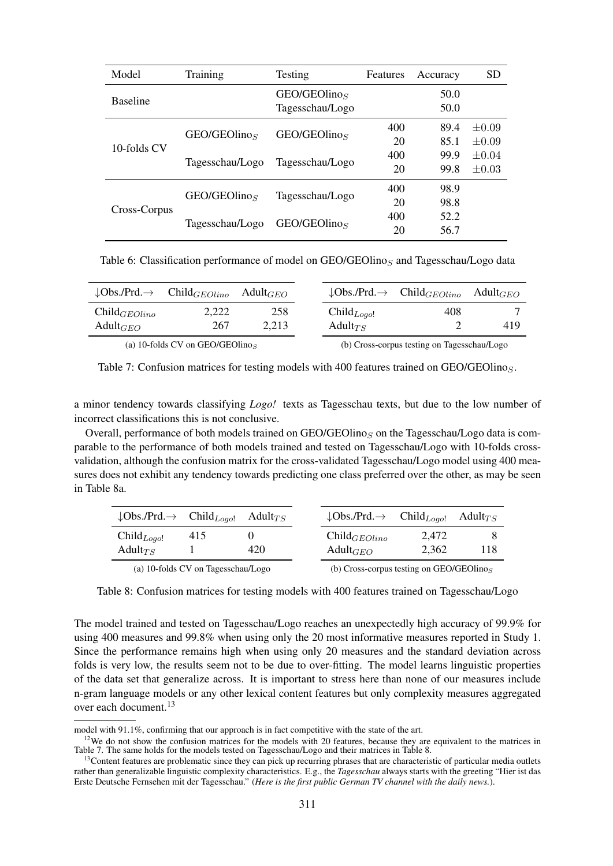| Model           | Training                 | Testing                  | Features | Accuracy | <b>SD</b>  |
|-----------------|--------------------------|--------------------------|----------|----------|------------|
| <b>Baseline</b> |                          | GEO/GEOlino <sub>S</sub> |          | 50.0     |            |
|                 |                          | Tagesschau/Logo          |          | 50.0     |            |
|                 | GEO/GEOlino <sub>S</sub> | GEO/GEOlino <sub>S</sub> | 400      | 89.4     | $+0.09$    |
| 10-folds CV     |                          |                          | 20       | 85.1     | $\pm 0.09$ |
|                 | Tagesschau/Logo          | Tagesschau/Logo          | 400      | 99.9     | $+0.04$    |
|                 |                          |                          | 20       | 99.8     | $\pm 0.03$ |
|                 | GEO/GEOlino <sub>S</sub> |                          | 400      | 98.9     |            |
| Cross-Corpus    |                          | Tagesschau/Logo          | 20       | 98.8     |            |
|                 | Tagesschau/Logo          | GEO/GEOlino <sub>S</sub> | 400      | 52.2     |            |
|                 |                          |                          | 20       | 56.7     |            |

Table 6: Classification performance of model on  $GEO/GEO$ linos and Tagesschau/Logo data

|                         | $\downarrow$ Obs./Prd. $\rightarrow$ Child <sub>GEOlino</sub> Adult <sub>GEO</sub> |       |  |                                             | $\downarrow$ Obs./Prd. $\rightarrow$ Child <sub>GEOlino</sub> Adult <sub>GEO</sub> |     |
|-------------------------|------------------------------------------------------------------------------------|-------|--|---------------------------------------------|------------------------------------------------------------------------------------|-----|
| $\text{Child}_{GEOino}$ | 2.222                                                                              | 258   |  | $Child_{Logol}$                             | 408                                                                                |     |
| Adult $_{GEO}$          | 267                                                                                | 2.213 |  | Adult <sub><math>TS</math></sub>            |                                                                                    | 419 |
|                         | (a) 10-folds CV on GEO/GEOlinos                                                    |       |  | (b) Cross-corpus testing on Tagesschau/Logo |                                                                                    |     |

Table 7: Confusion matrices for testing models with 400 features trained on  $GEO/GEO$ linos.

a minor tendency towards classifying *Logo!* texts as Tagesschau texts, but due to the low number of incorrect classifications this is not conclusive.

Overall, performance of both models trained on  $GEO/GEO\log S$  on the Tagesschau/Logo data is comparable to the performance of both models trained and tested on Tagesschau/Logo with 10-folds crossvalidation, although the confusion matrix for the cross-validated Tagesschau/Logo model using 400 measures does not exhibit any tendency towards predicting one class preferred over the other, as may be seen in Table 8a.

| $\downarrow$ Obs./Prd. $\rightarrow$ Child <sub>Logo!</sub> |                                    | Adult $_{TS}$ |                                             | $\downarrow$ Obs./Prd. $\rightarrow$ Child <sub>Logo!</sub> |       | Adult $_{TS}$ |
|-------------------------------------------------------------|------------------------------------|---------------|---------------------------------------------|-------------------------------------------------------------|-------|---------------|
| $\text{Child}_{\text{Logol}}$                               | 415                                |               |                                             | $\text{Child}_{GEOino}$                                     | 2.472 |               |
| Adult $_{TS}$                                               |                                    | 420           |                                             | Adult $_{GEO}$                                              | 2.362 | 118           |
|                                                             | (a) 10-folds CV on Tagesschau/Logo |               | (b) Cross-corpus testing on GEO/GEOlino $S$ |                                                             |       |               |

Table 8: Confusion matrices for testing models with 400 features trained on Tagesschau/Logo

The model trained and tested on Tagesschau/Logo reaches an unexpectedly high accuracy of 99.9% for using 400 measures and 99.8% when using only the 20 most informative measures reported in Study 1. Since the performance remains high when using only 20 measures and the standard deviation across folds is very low, the results seem not to be due to over-fitting. The model learns linguistic properties of the data set that generalize across. It is important to stress here than none of our measures include n-gram language models or any other lexical content features but only complexity measures aggregated over each document.<sup>13</sup>

model with 91.1%, confirming that our approach is in fact competitive with the state of the art.

 $12$ We do not show the confusion matrices for the models with 20 features, because they are equivalent to the matrices in Table 7. The same holds for the models tested on Tagesschau/Logo and their matrices in Table 8.

<sup>&</sup>lt;sup>13</sup>Content features are problematic since they can pick up recurring phrases that are characteristic of particular media outlets rather than generalizable linguistic complexity characteristics. E.g., the *Tagesschau* always starts with the greeting "Hier ist das Erste Deutsche Fernsehen mit der Tagesschau." (*Here is the first public German TV channel with the daily news.*).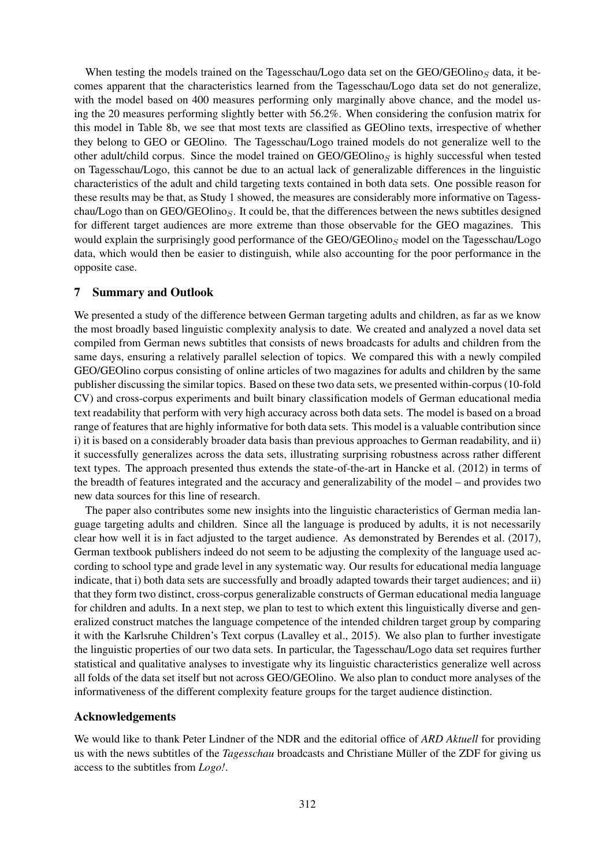When testing the models trained on the Tagesschau/Logo data set on the GEO/GEOlinos data, it becomes apparent that the characteristics learned from the Tagesschau/Logo data set do not generalize, with the model based on 400 measures performing only marginally above chance, and the model using the 20 measures performing slightly better with 56.2%. When considering the confusion matrix for this model in Table 8b, we see that most texts are classified as GEOlino texts, irrespective of whether they belong to GEO or GEOlino. The Tagesschau/Logo trained models do not generalize well to the other adult/child corpus. Since the model trained on  $GEO/GEO$ linos is highly successful when tested on Tagesschau/Logo, this cannot be due to an actual lack of generalizable differences in the linguistic characteristics of the adult and child targeting texts contained in both data sets. One possible reason for these results may be that, as Study 1 showed, the measures are considerably more informative on Tagesschau/Logo than on GEO/GEOlinos. It could be, that the differences between the news subtitles designed for different target audiences are more extreme than those observable for the GEO magazines. This would explain the surprisingly good performance of the  $GEO/GEOlino<sub>S</sub>$  model on the Tagesschau/Logo data, which would then be easier to distinguish, while also accounting for the poor performance in the opposite case.

#### 7 Summary and Outlook

We presented a study of the difference between German targeting adults and children, as far as we know the most broadly based linguistic complexity analysis to date. We created and analyzed a novel data set compiled from German news subtitles that consists of news broadcasts for adults and children from the same days, ensuring a relatively parallel selection of topics. We compared this with a newly compiled GEO/GEOlino corpus consisting of online articles of two magazines for adults and children by the same publisher discussing the similar topics. Based on these two data sets, we presented within-corpus (10-fold CV) and cross-corpus experiments and built binary classification models of German educational media text readability that perform with very high accuracy across both data sets. The model is based on a broad range of features that are highly informative for both data sets. This model is a valuable contribution since i) it is based on a considerably broader data basis than previous approaches to German readability, and ii) it successfully generalizes across the data sets, illustrating surprising robustness across rather different text types. The approach presented thus extends the state-of-the-art in Hancke et al. (2012) in terms of the breadth of features integrated and the accuracy and generalizability of the model – and provides two new data sources for this line of research.

The paper also contributes some new insights into the linguistic characteristics of German media language targeting adults and children. Since all the language is produced by adults, it is not necessarily clear how well it is in fact adjusted to the target audience. As demonstrated by Berendes et al. (2017), German textbook publishers indeed do not seem to be adjusting the complexity of the language used according to school type and grade level in any systematic way. Our results for educational media language indicate, that i) both data sets are successfully and broadly adapted towards their target audiences; and ii) that they form two distinct, cross-corpus generalizable constructs of German educational media language for children and adults. In a next step, we plan to test to which extent this linguistically diverse and generalized construct matches the language competence of the intended children target group by comparing it with the Karlsruhe Children's Text corpus (Lavalley et al., 2015). We also plan to further investigate the linguistic properties of our two data sets. In particular, the Tagesschau/Logo data set requires further statistical and qualitative analyses to investigate why its linguistic characteristics generalize well across all folds of the data set itself but not across GEO/GEOlino. We also plan to conduct more analyses of the informativeness of the different complexity feature groups for the target audience distinction.

#### Acknowledgements

We would like to thank Peter Lindner of the NDR and the editorial office of *ARD Aktuell* for providing us with the news subtitles of the *Tagesschau* broadcasts and Christiane Müller of the ZDF for giving us access to the subtitles from *Logo!*.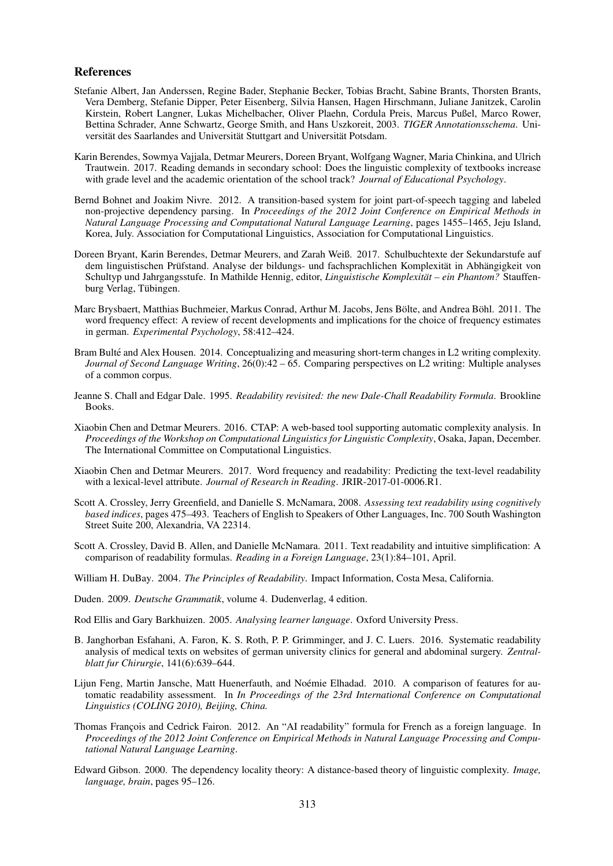#### References

- Stefanie Albert, Jan Anderssen, Regine Bader, Stephanie Becker, Tobias Bracht, Sabine Brants, Thorsten Brants, Vera Demberg, Stefanie Dipper, Peter Eisenberg, Silvia Hansen, Hagen Hirschmann, Juliane Janitzek, Carolin Kirstein, Robert Langner, Lukas Michelbacher, Oliver Plaehn, Cordula Preis, Marcus Pußel, Marco Rower, Bettina Schrader, Anne Schwartz, George Smith, and Hans Uszkoreit, 2003. *TIGER Annotationsschema*. Universität des Saarlandes and Universität Stuttgart and Universität Potsdam.
- Karin Berendes, Sowmya Vajjala, Detmar Meurers, Doreen Bryant, Wolfgang Wagner, Maria Chinkina, and Ulrich Trautwein. 2017. Reading demands in secondary school: Does the linguistic complexity of textbooks increase with grade level and the academic orientation of the school track? *Journal of Educational Psychology*.
- Bernd Bohnet and Joakim Nivre. 2012. A transition-based system for joint part-of-speech tagging and labeled non-projective dependency parsing. In *Proceedings of the 2012 Joint Conference on Empirical Methods in Natural Language Processing and Computational Natural Language Learning*, pages 1455–1465, Jeju Island, Korea, July. Association for Computational Linguistics, Association for Computational Linguistics.
- Doreen Bryant, Karin Berendes, Detmar Meurers, and Zarah Weiß. 2017. Schulbuchtexte der Sekundarstufe auf dem linguistischen Prüfstand. Analyse der bildungs- und fachsprachlichen Komplexität in Abhängigkeit von Schultyp und Jahrgangsstufe. In Mathilde Hennig, editor, *Linguistische Komplexität – ein Phantom?* Stauffenburg Verlag, Tübingen.
- Marc Brysbaert, Matthias Buchmeier, Markus Conrad, Arthur M. Jacobs, Jens Bölte, and Andrea Böhl. 2011. The word frequency effect: A review of recent developments and implications for the choice of frequency estimates in german. *Experimental Psychology*, 58:412–424.
- Bram Bulté and Alex Housen. 2014. Conceptualizing and measuring short-term changes in L2 writing complexity. *Journal of Second Language Writing*, 26(0):42 – 65. Comparing perspectives on L2 writing: Multiple analyses of a common corpus.
- Jeanne S. Chall and Edgar Dale. 1995. *Readability revisited: the new Dale-Chall Readability Formula*. Brookline Books.
- Xiaobin Chen and Detmar Meurers. 2016. CTAP: A web-based tool supporting automatic complexity analysis. In *Proceedings of the Workshop on Computational Linguistics for Linguistic Complexity*, Osaka, Japan, December. The International Committee on Computational Linguistics.
- Xiaobin Chen and Detmar Meurers. 2017. Word frequency and readability: Predicting the text-level readability with a lexical-level attribute. *Journal of Research in Reading*. JRIR-2017-01-0006.R1.
- Scott A. Crossley, Jerry Greenfield, and Danielle S. McNamara, 2008. *Assessing text readability using cognitively based indices*, pages 475–493. Teachers of English to Speakers of Other Languages, Inc. 700 South Washington Street Suite 200, Alexandria, VA 22314.
- Scott A. Crossley, David B. Allen, and Danielle McNamara. 2011. Text readability and intuitive simplification: A comparison of readability formulas. *Reading in a Foreign Language*, 23(1):84–101, April.
- William H. DuBay. 2004. *The Principles of Readability*. Impact Information, Costa Mesa, California.
- Duden. 2009. *Deutsche Grammatik*, volume 4. Dudenverlag, 4 edition.

Rod Ellis and Gary Barkhuizen. 2005. *Analysing learner language*. Oxford University Press.

- B. Janghorban Esfahani, A. Faron, K. S. Roth, P. P. Grimminger, and J. C. Luers. 2016. Systematic readability analysis of medical texts on websites of german university clinics for general and abdominal surgery. *Zentralblatt fur Chirurgie*, 141(6):639–644.
- Lijun Feng, Martin Jansche, Matt Huenerfauth, and Noémie Elhadad. 2010. A comparison of features for automatic readability assessment. In *In Proceedings of the 23rd International Conference on Computational Linguistics (COLING 2010), Beijing, China.*
- Thomas Francois and Cedrick Fairon. 2012. An "AI readability" formula for French as a foreign language. In *Proceedings of the 2012 Joint Conference on Empirical Methods in Natural Language Processing and Computational Natural Language Learning*.
- Edward Gibson. 2000. The dependency locality theory: A distance-based theory of linguistic complexity. *Image, language, brain*, pages 95–126.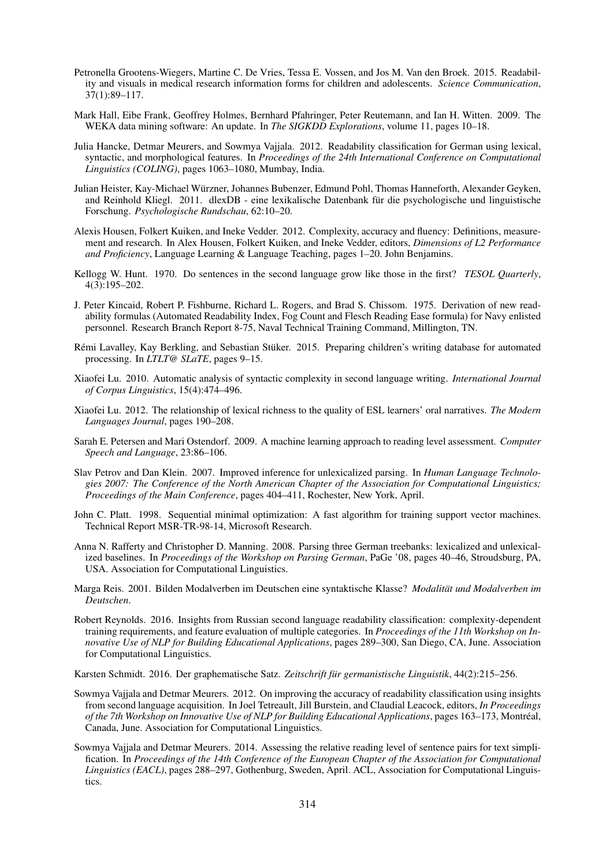- Petronella Grootens-Wiegers, Martine C. De Vries, Tessa E. Vossen, and Jos M. Van den Broek. 2015. Readability and visuals in medical research information forms for children and adolescents. *Science Communication*, 37(1):89–117.
- Mark Hall, Eibe Frank, Geoffrey Holmes, Bernhard Pfahringer, Peter Reutemann, and Ian H. Witten. 2009. The WEKA data mining software: An update. In *The SIGKDD Explorations*, volume 11, pages 10–18.
- Julia Hancke, Detmar Meurers, and Sowmya Vajjala. 2012. Readability classification for German using lexical, syntactic, and morphological features. In *Proceedings of the 24th International Conference on Computational Linguistics (COLING)*, pages 1063–1080, Mumbay, India.
- Julian Heister, Kay-Michael Wurzner, Johannes Bubenzer, Edmund Pohl, Thomas Hanneforth, Alexander Geyken, ¨ and Reinhold Kliegl. 2011. dlexDB - eine lexikalische Datenbank für die psychologische und linguistische Forschung. *Psychologische Rundschau*, 62:10–20.
- Alexis Housen, Folkert Kuiken, and Ineke Vedder. 2012. Complexity, accuracy and fluency: Definitions, measurement and research. In Alex Housen, Folkert Kuiken, and Ineke Vedder, editors, *Dimensions of L2 Performance and Proficiency*, Language Learning & Language Teaching, pages 1–20. John Benjamins.
- Kellogg W. Hunt. 1970. Do sentences in the second language grow like those in the first? *TESOL Quarterly*, 4(3):195–202.
- J. Peter Kincaid, Robert P. Fishburne, Richard L. Rogers, and Brad S. Chissom. 1975. Derivation of new readability formulas (Automated Readability Index, Fog Count and Flesch Reading Ease formula) for Navy enlisted personnel. Research Branch Report 8-75, Naval Technical Training Command, Millington, TN.
- Rémi Lavalley, Kay Berkling, and Sebastian Stüker. 2015. Preparing children's writing database for automated processing. In *LTLT@ SLaTE*, pages 9–15.
- Xiaofei Lu. 2010. Automatic analysis of syntactic complexity in second language writing. *International Journal of Corpus Linguistics*, 15(4):474–496.
- Xiaofei Lu. 2012. The relationship of lexical richness to the quality of ESL learners' oral narratives. *The Modern Languages Journal*, pages 190–208.
- Sarah E. Petersen and Mari Ostendorf. 2009. A machine learning approach to reading level assessment. *Computer Speech and Language*, 23:86–106.
- Slav Petrov and Dan Klein. 2007. Improved inference for unlexicalized parsing. In *Human Language Technologies 2007: The Conference of the North American Chapter of the Association for Computational Linguistics; Proceedings of the Main Conference*, pages 404–411, Rochester, New York, April.
- John C. Platt. 1998. Sequential minimal optimization: A fast algorithm for training support vector machines. Technical Report MSR-TR-98-14, Microsoft Research.
- Anna N. Rafferty and Christopher D. Manning. 2008. Parsing three German treebanks: lexicalized and unlexicalized baselines. In *Proceedings of the Workshop on Parsing German*, PaGe '08, pages 40–46, Stroudsburg, PA, USA. Association for Computational Linguistics.
- Marga Reis. 2001. Bilden Modalverben im Deutschen eine syntaktische Klasse? *Modalitat und Modalverben im ¨ Deutschen*.
- Robert Reynolds. 2016. Insights from Russian second language readability classification: complexity-dependent training requirements, and feature evaluation of multiple categories. In *Proceedings of the 11th Workshop on Innovative Use of NLP for Building Educational Applications*, pages 289–300, San Diego, CA, June. Association for Computational Linguistics.

Karsten Schmidt. 2016. Der graphematische Satz. Zeitschrift für germanistische Linguistik, 44(2):215–256.

- Sowmya Vajjala and Detmar Meurers. 2012. On improving the accuracy of readability classification using insights from second language acquisition. In Joel Tetreault, Jill Burstein, and Claudial Leacock, editors, *In Proceedings of the 7th Workshop on Innovative Use of NLP for Building Educational Applications*, pages 163–173, Montreal, ´ Canada, June. Association for Computational Linguistics.
- Sowmya Vajjala and Detmar Meurers. 2014. Assessing the relative reading level of sentence pairs for text simplification. In *Proceedings of the 14th Conference of the European Chapter of the Association for Computational Linguistics (EACL)*, pages 288–297, Gothenburg, Sweden, April. ACL, Association for Computational Linguistics.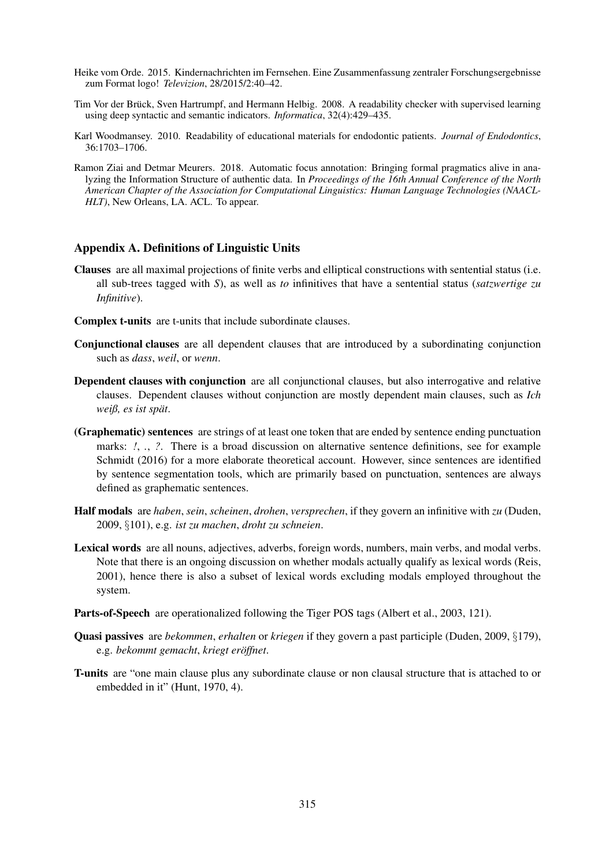- Heike vom Orde. 2015. Kindernachrichten im Fernsehen. Eine Zusammenfassung zentraler Forschungsergebnisse zum Format logo! *Televizion*, 28/2015/2:40–42.
- Tim Vor der Brück, Sven Hartrumpf, and Hermann Helbig. 2008. A readability checker with supervised learning using deep syntactic and semantic indicators. *Informatica*, 32(4):429–435.
- Karl Woodmansey. 2010. Readability of educational materials for endodontic patients. *Journal of Endodontics*, 36:1703–1706.
- Ramon Ziai and Detmar Meurers. 2018. Automatic focus annotation: Bringing formal pragmatics alive in analyzing the Information Structure of authentic data. In *Proceedings of the 16th Annual Conference of the North American Chapter of the Association for Computational Linguistics: Human Language Technologies (NAACL-HLT*), New Orleans, LA. ACL. To appear.

# Appendix A. Definitions of Linguistic Units

- Clauses are all maximal projections of finite verbs and elliptical constructions with sentential status (i.e. all sub-trees tagged with *S*), as well as *to* infinitives that have a sentential status (*satzwertige zu Infinitive*).
- Complex t-units are t-units that include subordinate clauses.
- Conjunctional clauses are all dependent clauses that are introduced by a subordinating conjunction such as *dass*, *weil*, or *wenn*.
- Dependent clauses with conjunction are all conjunctional clauses, but also interrogative and relative clauses. Dependent clauses without conjunction are mostly dependent main clauses, such as *Ich weiβ, es ist spät.*
- (Graphematic) sentences are strings of at least one token that are ended by sentence ending punctuation marks: *!*, *.*, *?*. There is a broad discussion on alternative sentence definitions, see for example Schmidt (2016) for a more elaborate theoretical account. However, since sentences are identified by sentence segmentation tools, which are primarily based on punctuation, sentences are always defined as graphematic sentences.
- Half modals are *haben*, *sein*, *scheinen*, *drohen*, *versprechen*, if they govern an infinitive with *zu* (Duden, 2009, §101), e.g. *ist zu machen*, *droht zu schneien*.
- Lexical words are all nouns, adjectives, adverbs, foreign words, numbers, main verbs, and modal verbs. Note that there is an ongoing discussion on whether modals actually qualify as lexical words (Reis, 2001), hence there is also a subset of lexical words excluding modals employed throughout the system.
- Parts-of-Speech are operationalized following the Tiger POS tags (Albert et al., 2003, 121).
- Quasi passives are *bekommen*, *erhalten* or *kriegen* if they govern a past participle (Duden, 2009, §179), e.g. *bekommt gemacht*, *kriegt eroffnet ¨* .
- T-units are "one main clause plus any subordinate clause or non clausal structure that is attached to or embedded in it" (Hunt, 1970, 4).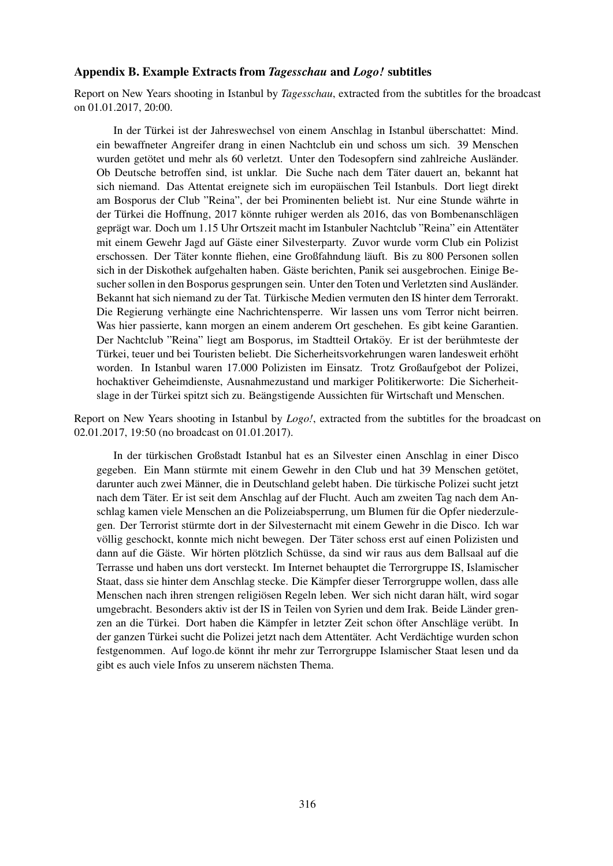#### Appendix B. Example Extracts from *Tagesschau* and *Logo!* subtitles

Report on New Years shooting in Istanbul by *Tagesschau*, extracted from the subtitles for the broadcast on 01.01.2017, 20:00.

In der Türkei ist der Jahreswechsel von einem Anschlag in Istanbul überschattet: Mind. ein bewaffneter Angreifer drang in einen Nachtclub ein und schoss um sich. 39 Menschen wurden getötet und mehr als 60 verletzt. Unter den Todesopfern sind zahlreiche Ausländer. Ob Deutsche betroffen sind, ist unklar. Die Suche nach dem Tater dauert an, bekannt hat ¨ sich niemand. Das Attentat ereignete sich im europäischen Teil Istanbuls. Dort liegt direkt am Bosporus der Club "Reina", der bei Prominenten beliebt ist. Nur eine Stunde währte in der Türkei die Hoffnung, 2017 könnte ruhiger werden als 2016, das von Bombenanschlägen geprägt war. Doch um 1.15 Uhr Ortszeit macht im Istanbuler Nachtclub "Reina" ein Attentäter mit einem Gewehr Jagd auf Gäste einer Silvesterparty. Zuvor wurde vorm Club ein Polizist erschossen. Der Täter konnte fliehen, eine Großfahndung läuft. Bis zu 800 Personen sollen sich in der Diskothek aufgehalten haben. Gäste berichten, Panik sei ausgebrochen. Einige Besucher sollen in den Bosporus gesprungen sein. Unter den Toten und Verletzten sind Ausländer. Bekannt hat sich niemand zu der Tat. Türkische Medien vermuten den IS hinter dem Terrorakt. Die Regierung verhängte eine Nachrichtensperre. Wir lassen uns vom Terror nicht beirren. Was hier passierte, kann morgen an einem anderem Ort geschehen. Es gibt keine Garantien. Der Nachtclub "Reina" liegt am Bosporus, im Stadtteil Ortaköy. Er ist der berühmteste der Türkei, teuer und bei Touristen beliebt. Die Sicherheitsvorkehrungen waren landesweit erhöht worden. In Istanbul waren 17.000 Polizisten im Einsatz. Trotz Großaufgebot der Polizei, hochaktiver Geheimdienste, Ausnahmezustand und markiger Politikerworte: Die Sicherheitslage in der Türkei spitzt sich zu. Beängstigende Aussichten für Wirtschaft und Menschen.

Report on New Years shooting in Istanbul by *Logo!*, extracted from the subtitles for the broadcast on 02.01.2017, 19:50 (no broadcast on 01.01.2017).

In der turkischen Großstadt Istanbul hat es an Silvester einen Anschlag in einer Disco ¨ gegeben. Ein Mann stürmte mit einem Gewehr in den Club und hat 39 Menschen getötet, darunter auch zwei Männer, die in Deutschland gelebt haben. Die türkische Polizei sucht jetzt nach dem Täter. Er ist seit dem Anschlag auf der Flucht. Auch am zweiten Tag nach dem Anschlag kamen viele Menschen an die Polizeiabsperrung, um Blumen für die Opfer niederzulegen. Der Terrorist sturmte dort in der Silvesternacht mit einem Gewehr in die Disco. Ich war ¨ völlig geschockt, konnte mich nicht bewegen. Der Täter schoss erst auf einen Polizisten und dann auf die Gäste. Wir hörten plötzlich Schüsse, da sind wir raus aus dem Ballsaal auf die Terrasse und haben uns dort versteckt. Im Internet behauptet die Terrorgruppe IS, Islamischer Staat, dass sie hinter dem Anschlag stecke. Die Kämpfer dieser Terrorgruppe wollen, dass alle Menschen nach ihren strengen religiösen Regeln leben. Wer sich nicht daran hält, wird sogar umgebracht. Besonders aktiv ist der IS in Teilen von Syrien und dem Irak. Beide Länder grenzen an die Türkei. Dort haben die Kämpfer in letzter Zeit schon öfter Anschläge verübt. In der ganzen Türkei sucht die Polizei jetzt nach dem Attentäter. Acht Verdächtige wurden schon festgenommen. Auf logo.de könnt ihr mehr zur Terrorgruppe Islamischer Staat lesen und da gibt es auch viele Infos zu unserem nächsten Thema.